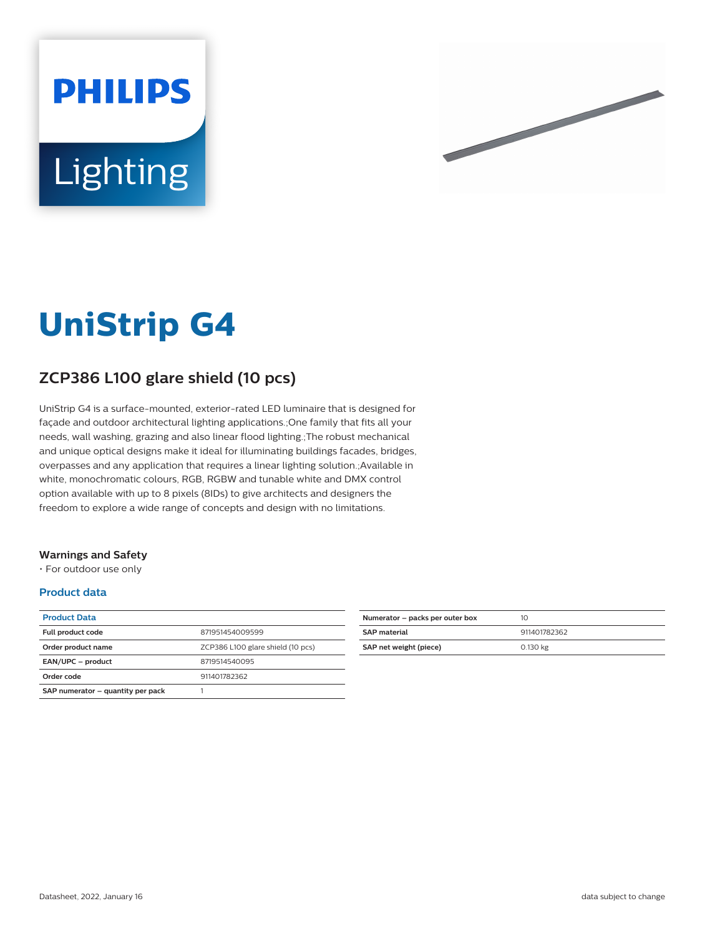



# **UniStrip G4**

## **ZCP386 L100 glare shield (10 pcs)**

UniStrip G4 is a surface-mounted, exterior-rated LED luminaire that is designed for façade and outdoor architectural lighting applications.;One family that fits all your needs, wall washing, grazing and also linear flood lighting.;The robust mechanical and unique optical designs make it ideal for illuminating buildings facades, bridges, overpasses and any application that requires a linear lighting solution.;Available in white, monochromatic colours, RGB, RGBW and tunable white and DMX control option available with up to 8 pixels (8IDs) to give architects and designers the freedom to explore a wide range of concepts and design with no limitations.

#### **Warnings and Safety**

• For outdoor use only

#### **Product data**

| <b>Product Data</b>               |                                   |
|-----------------------------------|-----------------------------------|
| Full product code                 | 871951454009599                   |
| Order product name                | ZCP386 L100 glare shield (10 pcs) |
| EAN/UPC - product                 | 8719514540095                     |
| Order code                        | 911401782362                      |
| SAP numerator - quantity per pack |                                   |

| Numerator – packs per outer box | 10           |
|---------------------------------|--------------|
| <b>SAP</b> material             | 911401782362 |
| SAP net weight (piece)          | 0.130 kg     |